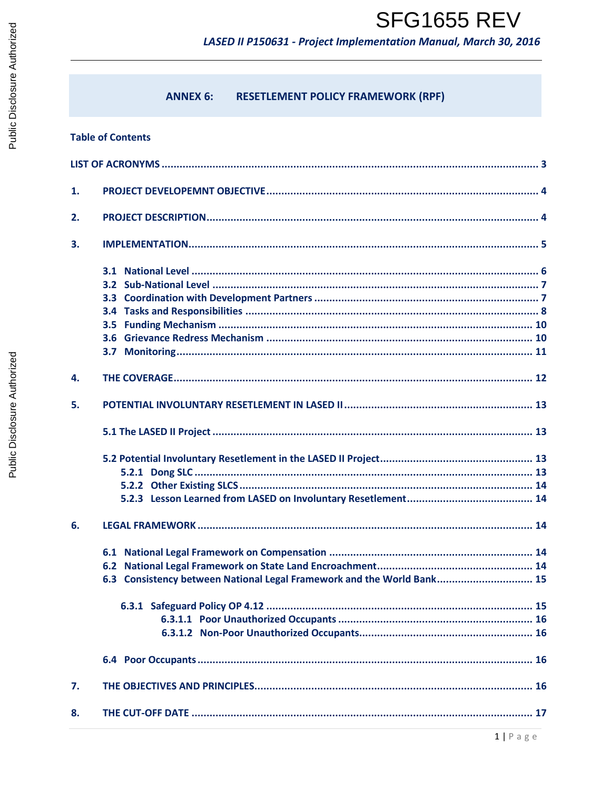LASED II P150631 - Project Implementation Manual, March 30, 2016

#### **RESETLEMENT POLICY FRAMEWORK (RPF) ANNEX 6:**

### **Table of Contents**

| 1. |                                                                        |
|----|------------------------------------------------------------------------|
| 2. |                                                                        |
| 3. |                                                                        |
|    |                                                                        |
| 4. |                                                                        |
| 5. |                                                                        |
|    |                                                                        |
|    |                                                                        |
| 6. |                                                                        |
|    | 6.3 Consistency between National Legal Framework and the World Bank 15 |
|    |                                                                        |
| 7. |                                                                        |
| 8. |                                                                        |
|    | $1   P \text{ a g e}$                                                  |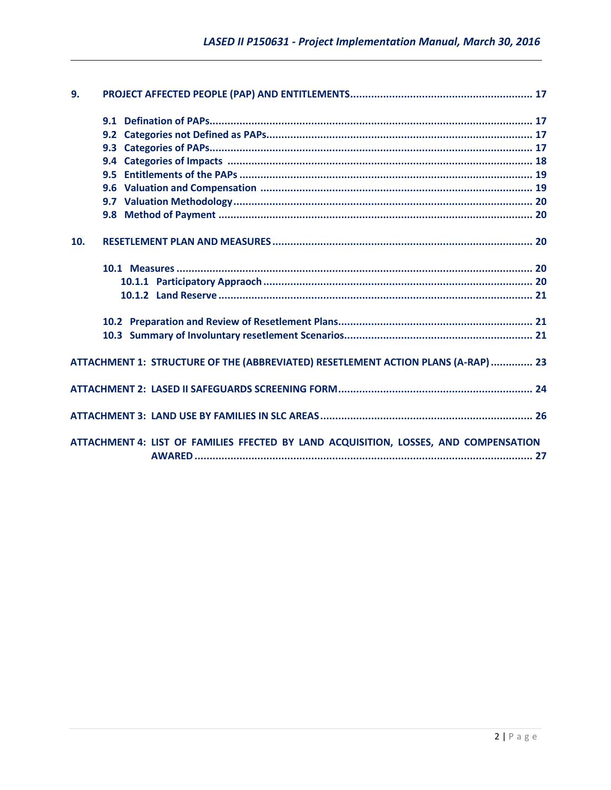| 9.  |                                                                                      |  |
|-----|--------------------------------------------------------------------------------------|--|
|     |                                                                                      |  |
|     |                                                                                      |  |
|     |                                                                                      |  |
|     |                                                                                      |  |
|     |                                                                                      |  |
|     |                                                                                      |  |
|     |                                                                                      |  |
|     |                                                                                      |  |
| 10. |                                                                                      |  |
|     |                                                                                      |  |
|     |                                                                                      |  |
|     |                                                                                      |  |
|     |                                                                                      |  |
|     |                                                                                      |  |
|     | ATTACHMENT 1: STRUCTURE OF THE (ABBREVIATED) RESETLEMENT ACTION PLANS (A-RAP)  23    |  |
|     |                                                                                      |  |
|     |                                                                                      |  |
|     | ATTACHMENT 4: LIST OF FAMILIES FFECTED BY LAND ACQUISITION, LOSSES, AND COMPENSATION |  |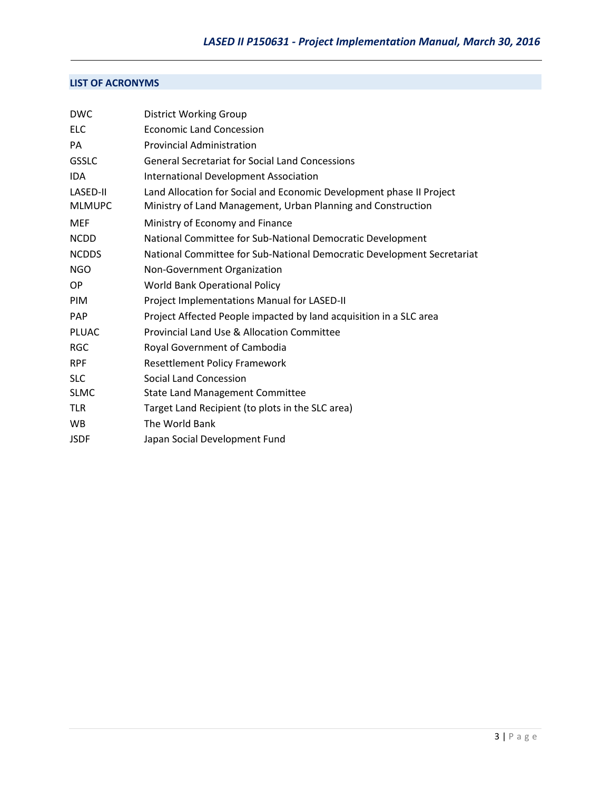# **LIST OF ACRONYMS**

| <b>DWC</b>                | <b>District Working Group</b>                                                                                                        |
|---------------------------|--------------------------------------------------------------------------------------------------------------------------------------|
| <b>ELC</b>                | <b>Economic Land Concession</b>                                                                                                      |
| PA                        | <b>Provincial Administration</b>                                                                                                     |
| <b>GSSLC</b>              | <b>General Secretariat for Social Land Concessions</b>                                                                               |
| <b>IDA</b>                | International Development Association                                                                                                |
| LASED-II<br><b>MLMUPC</b> | Land Allocation for Social and Economic Development phase II Project<br>Ministry of Land Management, Urban Planning and Construction |
| <b>MEF</b>                | Ministry of Economy and Finance                                                                                                      |
| <b>NCDD</b>               | National Committee for Sub-National Democratic Development                                                                           |
| <b>NCDDS</b>              | National Committee for Sub-National Democratic Development Secretariat                                                               |
| <b>NGO</b>                | Non-Government Organization                                                                                                          |
| OP.                       | <b>World Bank Operational Policy</b>                                                                                                 |
| <b>PIM</b>                | Project Implementations Manual for LASED-II                                                                                          |
| <b>PAP</b>                | Project Affected People impacted by land acquisition in a SLC area                                                                   |
| PLUAC                     | <b>Provincial Land Use &amp; Allocation Committee</b>                                                                                |
| <b>RGC</b>                | Royal Government of Cambodia                                                                                                         |
| <b>RPF</b>                | <b>Resettlement Policy Framework</b>                                                                                                 |
| <b>SLC</b>                | <b>Social Land Concession</b>                                                                                                        |
| <b>SLMC</b>               | <b>State Land Management Committee</b>                                                                                               |
| <b>TLR</b>                | Target Land Recipient (to plots in the SLC area)                                                                                     |
| <b>WB</b>                 | The World Bank                                                                                                                       |
| <b>JSDF</b>               | Japan Social Development Fund                                                                                                        |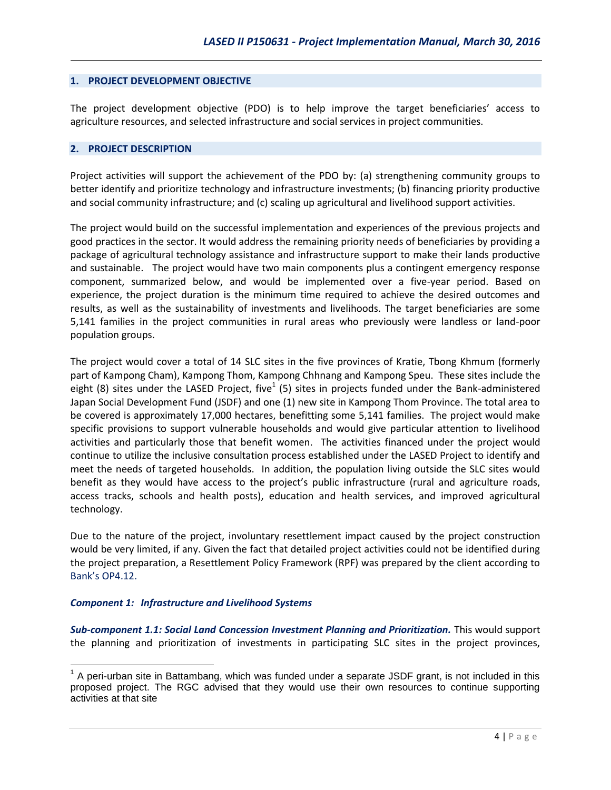#### **1. PROJECT DEVELOPMENT OBJECTIVE**

The project development objective (PDO) is to help improve the target beneficiaries' access to agriculture resources, and selected infrastructure and social services in project communities.

#### **2. PROJECT DESCRIPTION**

Project activities will support the achievement of the PDO by: (a) strengthening community groups to better identify and prioritize technology and infrastructure investments; (b) financing priority productive and social community infrastructure; and (c) scaling up agricultural and livelihood support activities.

The project would build on the successful implementation and experiences of the previous projects and good practices in the sector. It would address the remaining priority needs of beneficiaries by providing a package of agricultural technology assistance and infrastructure support to make their lands productive and sustainable. The project would have two main components plus a contingent emergency response component, summarized below, and would be implemented over a five-year period. Based on experience, the project duration is the minimum time required to achieve the desired outcomes and results, as well as the sustainability of investments and livelihoods. The target beneficiaries are some 5,141 families in the project communities in rural areas who previously were landless or land-poor population groups.

The project would cover a total of 14 SLC sites in the five provinces of Kratie, Tbong Khmum (formerly part of Kampong Cham), Kampong Thom, Kampong Chhnang and Kampong Speu. These sites include the eight (8) sites under the LASED Project, five $^{1}$  (5) sites in projects funded under the Bank-administered Japan Social Development Fund (JSDF) and one (1) new site in Kampong Thom Province. The total area to be covered is approximately 17,000 hectares, benefitting some 5,141 families. The project would make specific provisions to support vulnerable households and would give particular attention to livelihood activities and particularly those that benefit women. The activities financed under the project would continue to utilize the inclusive consultation process established under the LASED Project to identify and meet the needs of targeted households. In addition, the population living outside the SLC sites would benefit as they would have access to the project's public infrastructure (rural and agriculture roads, access tracks, schools and health posts), education and health services, and improved agricultural technology.

Due to the nature of the project, involuntary resettlement impact caused by the project construction would be very limited, if any. Given the fact that detailed project activities could not be identified during the project preparation, a Resettlement Policy Framework (RPF) was prepared by the client according to Bank's OP4.12.

### *Component 1: Infrastructure and Livelihood Systems*

*Sub-component 1.1: Social Land Concession Investment Planning and Prioritization.* This would support the planning and prioritization of investments in participating SLC sites in the project provinces,

 $\overline{\phantom{a}}$  $1$  A peri-urban site in Battambang, which was funded under a separate JSDF grant, is not included in this proposed project. The RGC advised that they would use their own resources to continue supporting activities at that site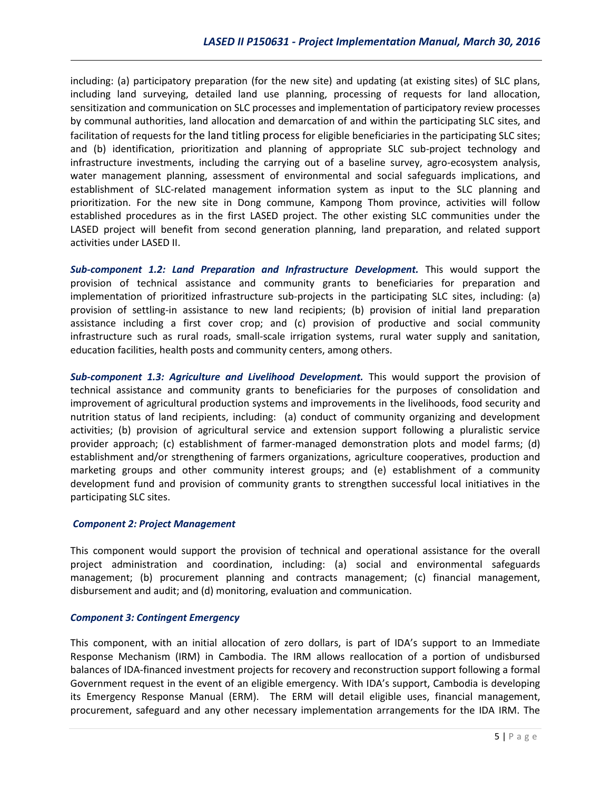including: (a) participatory preparation (for the new site) and updating (at existing sites) of SLC plans, including land surveying, detailed land use planning, processing of requests for land allocation, sensitization and communication on SLC processes and implementation of participatory review processes by communal authorities, land allocation and demarcation of and within the participating SLC sites, and facilitation of requests for the land titling process for eligible beneficiaries in the participating SLC sites; and (b) identification, prioritization and planning of appropriate SLC sub-project technology and infrastructure investments, including the carrying out of a baseline survey, agro-ecosystem analysis, water management planning, assessment of environmental and social safeguards implications, and establishment of SLC-related management information system as input to the SLC planning and prioritization. For the new site in Dong commune, Kampong Thom province, activities will follow established procedures as in the first LASED project. The other existing SLC communities under the LASED project will benefit from second generation planning, land preparation, and related support activities under LASED II.

*Sub-component 1.2: Land Preparation and Infrastructure Development.* This would support the provision of technical assistance and community grants to beneficiaries for preparation and implementation of prioritized infrastructure sub-projects in the participating SLC sites, including: (a) provision of settling-in assistance to new land recipients; (b) provision of initial land preparation assistance including a first cover crop; and (c) provision of productive and social community infrastructure such as rural roads, small-scale irrigation systems, rural water supply and sanitation, education facilities, health posts and community centers, among others.

*Sub-component 1.3: Agriculture and Livelihood Development.* This would support the provision of technical assistance and community grants to beneficiaries for the purposes of consolidation and improvement of agricultural production systems and improvements in the livelihoods, food security and nutrition status of land recipients, including: (a) conduct of community organizing and development activities; (b) provision of agricultural service and extension support following a pluralistic service provider approach; (c) establishment of farmer-managed demonstration plots and model farms; (d) establishment and/or strengthening of farmers organizations, agriculture cooperatives, production and marketing groups and other community interest groups; and (e) establishment of a community development fund and provision of community grants to strengthen successful local initiatives in the participating SLC sites.

#### *Component 2: Project Management*

This component would support the provision of technical and operational assistance for the overall project administration and coordination, including: (a) social and environmental safeguards management; (b) procurement planning and contracts management; (c) financial management, disbursement and audit; and (d) monitoring, evaluation and communication.

#### *Component 3: Contingent Emergency*

This component, with an initial allocation of zero dollars, is part of IDA's support to an Immediate Response Mechanism (IRM) in Cambodia. The IRM allows reallocation of a portion of undisbursed balances of IDA-financed investment projects for recovery and reconstruction support following a formal Government request in the event of an eligible emergency. With IDA's support, Cambodia is developing its Emergency Response Manual (ERM). The ERM will detail eligible uses, financial management, procurement, safeguard and any other necessary implementation arrangements for the IDA IRM. The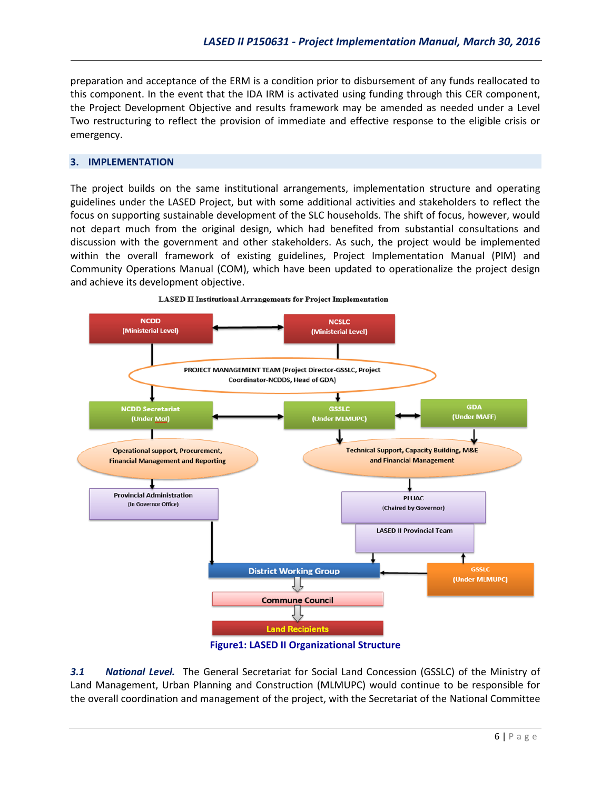preparation and acceptance of the ERM is a condition prior to disbursement of any funds reallocated to this component. In the event that the IDA IRM is activated using funding through this CER component, the Project Development Objective and results framework may be amended as needed under a Level Two restructuring to reflect the provision of immediate and effective response to the eligible crisis or emergency.

#### **3. IMPLEMENTATION**

The project builds on the same institutional arrangements, implementation structure and operating guidelines under the LASED Project, but with some additional activities and stakeholders to reflect the focus on supporting sustainable development of the SLC households. The shift of focus, however, would not depart much from the original design, which had benefited from substantial consultations and discussion with the government and other stakeholders. As such, the project would be implemented within the overall framework of existing guidelines, Project Implementation Manual (PIM) and Community Operations Manual (COM), which have been updated to operationalize the project design and achieve its development objective.





**Figure1: LASED II Organizational Structure**

*3.1 National Level.* The General Secretariat for Social Land Concession (GSSLC) of the Ministry of Land Management, Urban Planning and Construction (MLMUPC) would continue to be responsible for the overall coordination and management of the project, with the Secretariat of the National Committee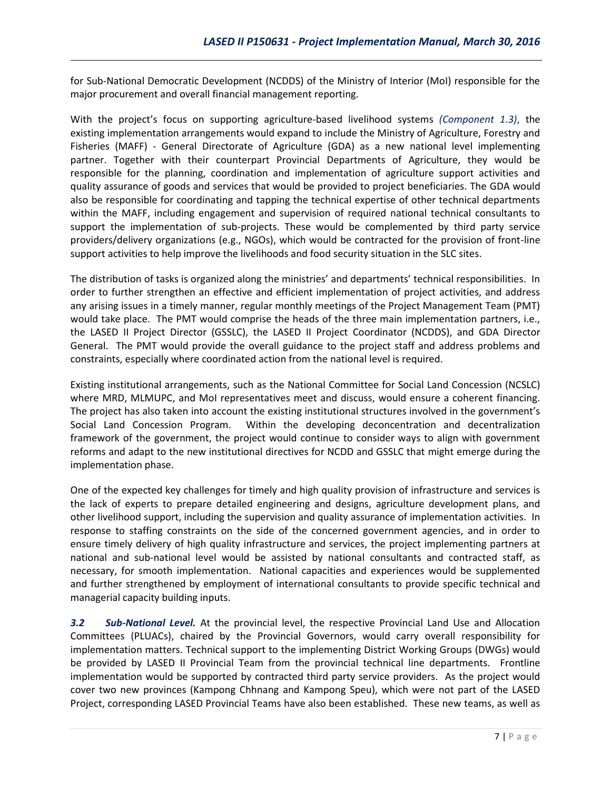for Sub-National Democratic Development (NCDDS) of the Ministry of Interior (MoI) responsible for the major procurement and overall financial management reporting.

With the project's focus on supporting agriculture-based livelihood systems *(Component 1.3)*, the existing implementation arrangements would expand to include the Ministry of Agriculture, Forestry and Fisheries (MAFF) - General Directorate of Agriculture (GDA) as a new national level implementing partner. Together with their counterpart Provincial Departments of Agriculture, they would be responsible for the planning, coordination and implementation of agriculture support activities and quality assurance of goods and services that would be provided to project beneficiaries. The GDA would also be responsible for coordinating and tapping the technical expertise of other technical departments within the MAFF, including engagement and supervision of required national technical consultants to support the implementation of sub-projects. These would be complemented by third party service providers/delivery organizations (e.g., NGOs), which would be contracted for the provision of front-line support activities to help improve the livelihoods and food security situation in the SLC sites.

The distribution of tasks is organized along the ministries' and departments' technical responsibilities. In order to further strengthen an effective and efficient implementation of project activities, and address any arising issues in a timely manner, regular monthly meetings of the Project Management Team (PMT) would take place. The PMT would comprise the heads of the three main implementation partners, i.e., the LASED II Project Director (GSSLC), the LASED II Project Coordinator (NCDDS), and GDA Director General. The PMT would provide the overall guidance to the project staff and address problems and constraints, especially where coordinated action from the national level is required.

Existing institutional arrangements, such as the National Committee for Social Land Concession (NCSLC) where MRD, MLMUPC, and MoI representatives meet and discuss, would ensure a coherent financing. The project has also taken into account the existing institutional structures involved in the government's Social Land Concession Program. Within the developing deconcentration and decentralization framework of the government, the project would continue to consider ways to align with government reforms and adapt to the new institutional directives for NCDD and GSSLC that might emerge during the implementation phase.

One of the expected key challenges for timely and high quality provision of infrastructure and services is the lack of experts to prepare detailed engineering and designs, agriculture development plans, and other livelihood support, including the supervision and quality assurance of implementation activities. In response to staffing constraints on the side of the concerned government agencies, and in order to ensure timely delivery of high quality infrastructure and services, the project implementing partners at national and sub-national level would be assisted by national consultants and contracted staff, as necessary, for smooth implementation. National capacities and experiences would be supplemented and further strengthened by employment of international consultants to provide specific technical and managerial capacity building inputs.

*3.2 Sub-National Level.* At the provincial level, the respective Provincial Land Use and Allocation Committees (PLUACs), chaired by the Provincial Governors, would carry overall responsibility for implementation matters. Technical support to the implementing District Working Groups (DWGs) would be provided by LASED II Provincial Team from the provincial technical line departments. Frontline implementation would be supported by contracted third party service providers. As the project would cover two new provinces (Kampong Chhnang and Kampong Speu), which were not part of the LASED Project, corresponding LASED Provincial Teams have also been established. These new teams, as well as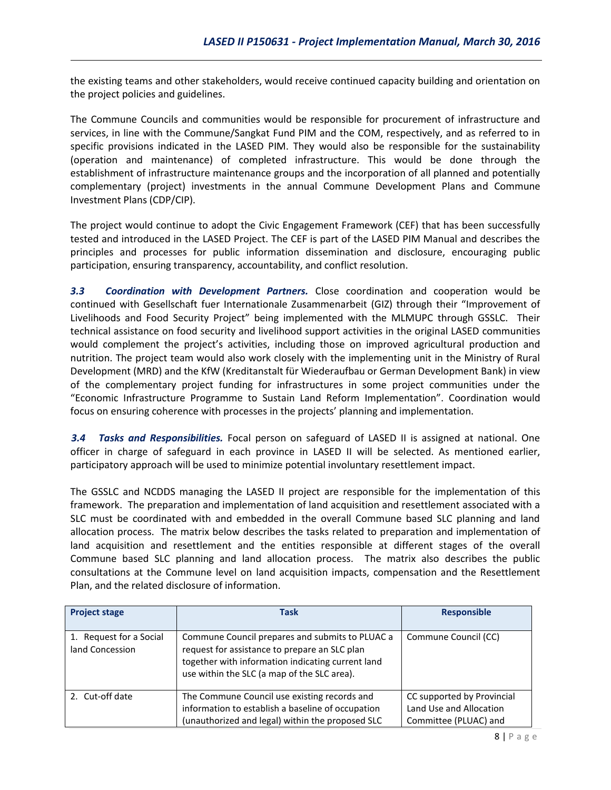the existing teams and other stakeholders, would receive continued capacity building and orientation on the project policies and guidelines.

The Commune Councils and communities would be responsible for procurement of infrastructure and services, in line with the Commune/Sangkat Fund PIM and the COM, respectively, and as referred to in specific provisions indicated in the LASED PIM. They would also be responsible for the sustainability (operation and maintenance) of completed infrastructure. This would be done through the establishment of infrastructure maintenance groups and the incorporation of all planned and potentially complementary (project) investments in the annual Commune Development Plans and Commune Investment Plans (CDP/CIP).

The project would continue to adopt the Civic Engagement Framework (CEF) that has been successfully tested and introduced in the LASED Project. The CEF is part of the LASED PIM Manual and describes the principles and processes for public information dissemination and disclosure, encouraging public participation, ensuring transparency, accountability, and conflict resolution.

*3.3 Coordination with Development Partners.* Close coordination and cooperation would be continued with Gesellschaft fuer Internationale Zusammenarbeit (GIZ) through their "Improvement of Livelihoods and Food Security Project" being implemented with the MLMUPC through GSSLC. Their technical assistance on food security and livelihood support activities in the original LASED communities would complement the project's activities, including those on improved agricultural production and nutrition. The project team would also work closely with the implementing unit in the Ministry of Rural Development (MRD) and the KfW (Kreditanstalt für Wiederaufbau or German Development Bank) in view of the complementary project funding for infrastructures in some project communities under the "Economic Infrastructure Programme to Sustain Land Reform Implementation". Coordination would focus on ensuring coherence with processes in the projects' planning and implementation.

*3.4 Tasks and Responsibilities.* Focal person on safeguard of LASED II is assigned at national. One officer in charge of safeguard in each province in LASED II will be selected. As mentioned earlier, participatory approach will be used to minimize potential involuntary resettlement impact.

The GSSLC and NCDDS managing the LASED II project are responsible for the implementation of this framework. The preparation and implementation of land acquisition and resettlement associated with a SLC must be coordinated with and embedded in the overall Commune based SLC planning and land allocation process. The matrix below describes the tasks related to preparation and implementation of land acquisition and resettlement and the entities responsible at different stages of the overall Commune based SLC planning and land allocation process. The matrix also describes the public consultations at the Commune level on land acquisition impacts, compensation and the Resettlement Plan, and the related disclosure of information.

| <b>Project stage</b>                       | Task                                                                                                                                                                                                 | <b>Responsible</b>                                                             |
|--------------------------------------------|------------------------------------------------------------------------------------------------------------------------------------------------------------------------------------------------------|--------------------------------------------------------------------------------|
| 1. Request for a Social<br>land Concession | Commune Council prepares and submits to PLUAC a<br>request for assistance to prepare an SLC plan<br>together with information indicating current land<br>use within the SLC (a map of the SLC area). | Commune Council (CC)                                                           |
| 2. Cut-off date                            | The Commune Council use existing records and<br>information to establish a baseline of occupation<br>(unauthorized and legal) within the proposed SLC                                                | CC supported by Provincial<br>Land Use and Allocation<br>Committee (PLUAC) and |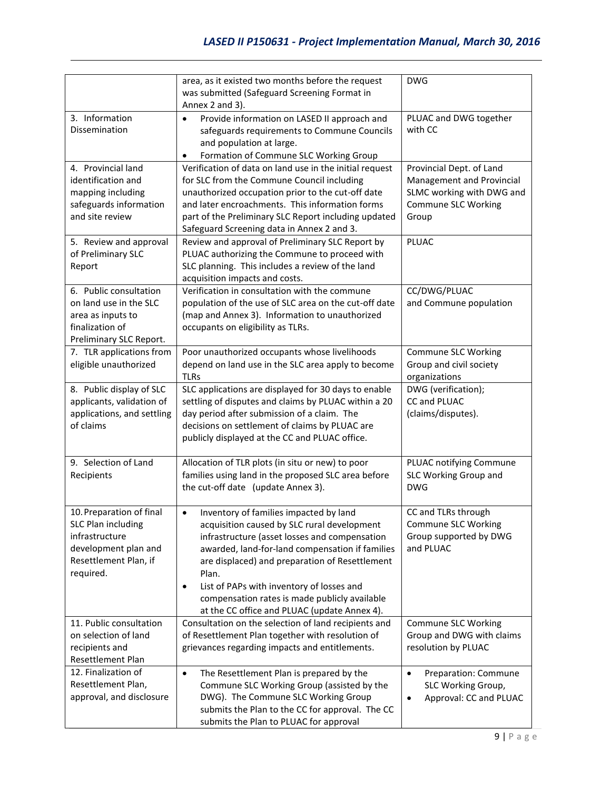|                                                                                                                                                                      | area, as it existed two months before the request<br>was submitted (Safeguard Screening Format in<br>Annex 2 and 3).                                                                                                                                                                                                                                                                                                                                                                                           | <b>DWG</b>                                                                                                                         |
|----------------------------------------------------------------------------------------------------------------------------------------------------------------------|----------------------------------------------------------------------------------------------------------------------------------------------------------------------------------------------------------------------------------------------------------------------------------------------------------------------------------------------------------------------------------------------------------------------------------------------------------------------------------------------------------------|------------------------------------------------------------------------------------------------------------------------------------|
| 3. Information<br>Dissemination                                                                                                                                      | Provide information on LASED II approach and<br>$\bullet$<br>safeguards requirements to Commune Councils<br>and population at large.<br>Formation of Commune SLC Working Group                                                                                                                                                                                                                                                                                                                                 | PLUAC and DWG together<br>with CC                                                                                                  |
| 4. Provincial land<br>identification and<br>mapping including<br>safeguards information<br>and site review<br>5. Review and approval<br>of Preliminary SLC<br>Report | Verification of data on land use in the initial request<br>for SLC from the Commune Council including<br>unauthorized occupation prior to the cut-off date<br>and later encroachments. This information forms<br>part of the Preliminary SLC Report including updated<br>Safeguard Screening data in Annex 2 and 3.<br>Review and approval of Preliminary SLC Report by<br>PLUAC authorizing the Commune to proceed with<br>SLC planning. This includes a review of the land<br>acquisition impacts and costs. | Provincial Dept. of Land<br>Management and Provincial<br>SLMC working with DWG and<br><b>Commune SLC Working</b><br>Group<br>PLUAC |
| 6. Public consultation<br>on land use in the SLC<br>area as inputs to<br>finalization of<br>Preliminary SLC Report.                                                  | Verification in consultation with the commune<br>population of the use of SLC area on the cut-off date<br>(map and Annex 3). Information to unauthorized<br>occupants on eligibility as TLRs.                                                                                                                                                                                                                                                                                                                  | CC/DWG/PLUAC<br>and Commune population                                                                                             |
| 7. TLR applications from<br>eligible unauthorized                                                                                                                    | Poor unauthorized occupants whose livelihoods<br>depend on land use in the SLC area apply to become<br><b>TLRs</b>                                                                                                                                                                                                                                                                                                                                                                                             | <b>Commune SLC Working</b><br>Group and civil society<br>organizations                                                             |
| 8. Public display of SLC<br>applicants, validation of<br>applications, and settling<br>of claims                                                                     | SLC applications are displayed for 30 days to enable<br>settling of disputes and claims by PLUAC within a 20<br>day period after submission of a claim. The<br>decisions on settlement of claims by PLUAC are<br>publicly displayed at the CC and PLUAC office.                                                                                                                                                                                                                                                | DWG (verification);<br>CC and PLUAC<br>(claims/disputes).                                                                          |
| 9. Selection of Land<br>Recipients                                                                                                                                   | Allocation of TLR plots (in situ or new) to poor<br>families using land in the proposed SLC area before<br>the cut-off date (update Annex 3).                                                                                                                                                                                                                                                                                                                                                                  | PLUAC notifying Commune<br>SLC Working Group and<br><b>DWG</b>                                                                     |
| 10. Preparation of final<br><b>SLC Plan including</b><br>infrastructure<br>development plan and<br>Resettlement Plan, if<br>required.                                | Inventory of families impacted by land<br>$\bullet$<br>acquisition caused by SLC rural development<br>infrastructure (asset losses and compensation<br>awarded, land-for-land compensation if families<br>are displaced) and preparation of Resettlement<br>Plan.<br>List of PAPs with inventory of losses and<br>٠<br>compensation rates is made publicly available<br>at the CC office and PLUAC (update Annex 4).                                                                                           | CC and TLRs through<br><b>Commune SLC Working</b><br>Group supported by DWG<br>and PLUAC                                           |
| 11. Public consultation<br>on selection of land<br>recipients and<br>Resettlement Plan                                                                               | Consultation on the selection of land recipients and<br>of Resettlement Plan together with resolution of<br>grievances regarding impacts and entitlements.                                                                                                                                                                                                                                                                                                                                                     | Commune SLC Working<br>Group and DWG with claims<br>resolution by PLUAC                                                            |
| 12. Finalization of<br>Resettlement Plan,<br>approval, and disclosure                                                                                                | The Resettlement Plan is prepared by the<br>$\bullet$<br>Commune SLC Working Group (assisted by the<br>DWG). The Commune SLC Working Group<br>submits the Plan to the CC for approval. The CC<br>submits the Plan to PLUAC for approval                                                                                                                                                                                                                                                                        | Preparation: Commune<br>$\bullet$<br>SLC Working Group,<br>Approval: CC and PLUAC<br>$\bullet$                                     |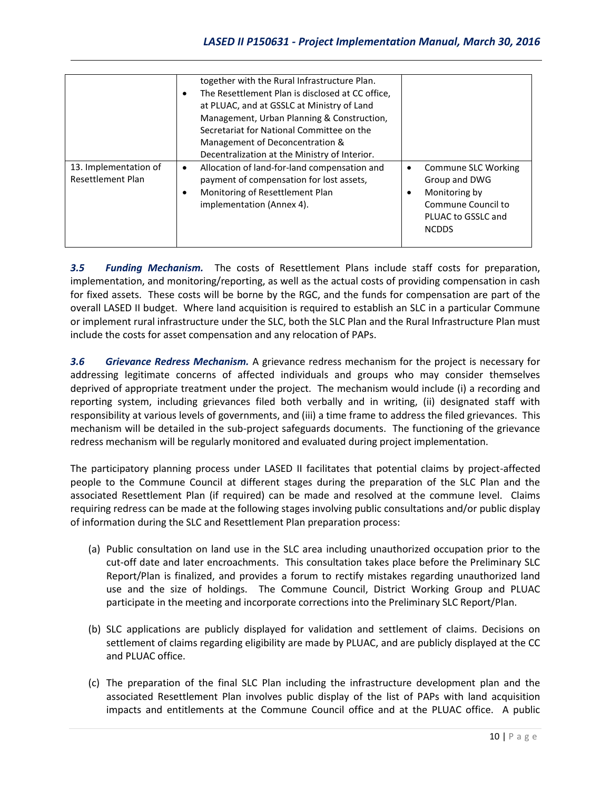|                       | together with the Rural Infrastructure Plan.     |                     |
|-----------------------|--------------------------------------------------|---------------------|
|                       | The Resettlement Plan is disclosed at CC office, |                     |
|                       |                                                  |                     |
|                       |                                                  |                     |
|                       | Secretariat for National Committee on the        |                     |
|                       | Management of Deconcentration &                  |                     |
|                       | Decentralization at the Ministry of Interior.    |                     |
| 13. Implementation of | Allocation of land-for-land compensation and     | Commune SLC Working |
| Resettlement Plan     | payment of compensation for lost assets,         | Group and DWG       |
|                       | Monitoring of Resettlement Plan                  | Monitoring by       |
|                       | implementation (Annex 4).                        | Commune Council to  |
|                       |                                                  | PLUAC to GSSLC and  |
|                       |                                                  | <b>NCDDS</b>        |
|                       |                                                  |                     |

*3.5 Funding Mechanism.* The costs of Resettlement Plans include staff costs for preparation, implementation, and monitoring/reporting, as well as the actual costs of providing compensation in cash for fixed assets. These costs will be borne by the RGC, and the funds for compensation are part of the overall LASED II budget. Where land acquisition is required to establish an SLC in a particular Commune or implement rural infrastructure under the SLC, both the SLC Plan and the Rural Infrastructure Plan must include the costs for asset compensation and any relocation of PAPs.

*3.6 Grievance Redress Mechanism.* A grievance redress mechanism for the project is necessary for addressing legitimate concerns of affected individuals and groups who may consider themselves deprived of appropriate treatment under the project. The mechanism would include (i) a recording and reporting system, including grievances filed both verbally and in writing, (ii) designated staff with responsibility at various levels of governments, and (iii) a time frame to address the filed grievances. This mechanism will be detailed in the sub-project safeguards documents. The functioning of the grievance redress mechanism will be regularly monitored and evaluated during project implementation.

The participatory planning process under LASED II facilitates that potential claims by project-affected people to the Commune Council at different stages during the preparation of the SLC Plan and the associated Resettlement Plan (if required) can be made and resolved at the commune level. Claims requiring redress can be made at the following stages involving public consultations and/or public display of information during the SLC and Resettlement Plan preparation process:

- (a) Public consultation on land use in the SLC area including unauthorized occupation prior to the cut-off date and later encroachments. This consultation takes place before the Preliminary SLC Report/Plan is finalized, and provides a forum to rectify mistakes regarding unauthorized land use and the size of holdings. The Commune Council, District Working Group and PLUAC participate in the meeting and incorporate corrections into the Preliminary SLC Report/Plan.
- (b) SLC applications are publicly displayed for validation and settlement of claims. Decisions on settlement of claims regarding eligibility are made by PLUAC, and are publicly displayed at the CC and PLUAC office.
- (c) The preparation of the final SLC Plan including the infrastructure development plan and the associated Resettlement Plan involves public display of the list of PAPs with land acquisition impacts and entitlements at the Commune Council office and at the PLUAC office. A public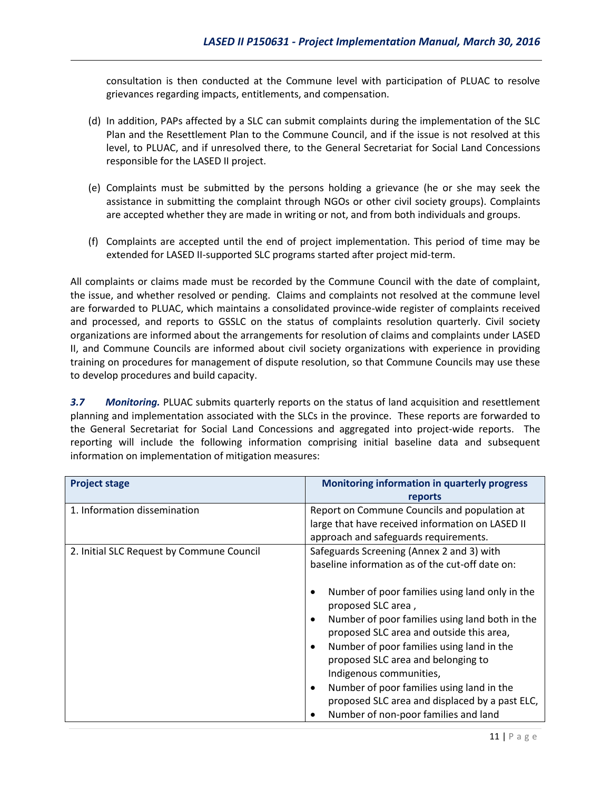consultation is then conducted at the Commune level with participation of PLUAC to resolve grievances regarding impacts, entitlements, and compensation.

- (d) In addition, PAPs affected by a SLC can submit complaints during the implementation of the SLC Plan and the Resettlement Plan to the Commune Council, and if the issue is not resolved at this level, to PLUAC, and if unresolved there, to the General Secretariat for Social Land Concessions responsible for the LASED II project.
- (e) Complaints must be submitted by the persons holding a grievance (he or she may seek the assistance in submitting the complaint through NGOs or other civil society groups). Complaints are accepted whether they are made in writing or not, and from both individuals and groups.
- (f) Complaints are accepted until the end of project implementation. This period of time may be extended for LASED II-supported SLC programs started after project mid-term.

All complaints or claims made must be recorded by the Commune Council with the date of complaint, the issue, and whether resolved or pending. Claims and complaints not resolved at the commune level are forwarded to PLUAC, which maintains a consolidated province-wide register of complaints received and processed, and reports to GSSLC on the status of complaints resolution quarterly. Civil society organizations are informed about the arrangements for resolution of claims and complaints under LASED II, and Commune Councils are informed about civil society organizations with experience in providing training on procedures for management of dispute resolution, so that Commune Councils may use these to develop procedures and build capacity.

*3.7 Monitoring.* PLUAC submits quarterly reports on the status of land acquisition and resettlement planning and implementation associated with the SLCs in the province. These reports are forwarded to the General Secretariat for Social Land Concessions and aggregated into project-wide reports. The reporting will include the following information comprising initial baseline data and subsequent information on implementation of mitigation measures:

| <b>Project stage</b>                      | <b>Monitoring information in quarterly progress</b><br>reports                                                                                                                                                                                                                                                                                                                                                                                                                                                                                                              |
|-------------------------------------------|-----------------------------------------------------------------------------------------------------------------------------------------------------------------------------------------------------------------------------------------------------------------------------------------------------------------------------------------------------------------------------------------------------------------------------------------------------------------------------------------------------------------------------------------------------------------------------|
| 1. Information dissemination              | Report on Commune Councils and population at<br>large that have received information on LASED II<br>approach and safeguards requirements.                                                                                                                                                                                                                                                                                                                                                                                                                                   |
| 2. Initial SLC Request by Commune Council | Safeguards Screening (Annex 2 and 3) with<br>baseline information as of the cut-off date on:<br>Number of poor families using land only in the<br>proposed SLC area,<br>Number of poor families using land both in the<br>$\bullet$<br>proposed SLC area and outside this area,<br>Number of poor families using land in the<br>$\bullet$<br>proposed SLC area and belonging to<br>Indigenous communities,<br>Number of poor families using land in the<br>$\bullet$<br>proposed SLC area and displaced by a past ELC,<br>Number of non-poor families and land<br>$\bullet$ |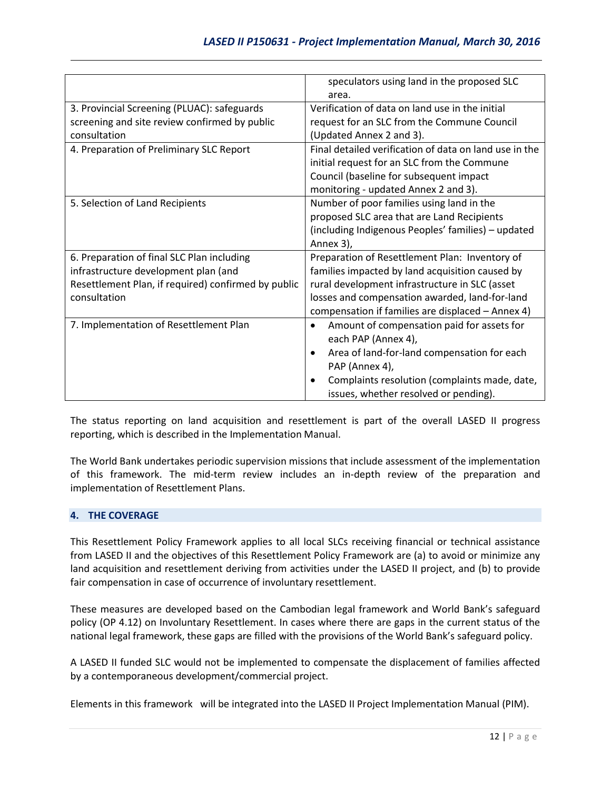|                                                     | speculators using land in the proposed SLC                 |
|-----------------------------------------------------|------------------------------------------------------------|
|                                                     | area.                                                      |
| 3. Provincial Screening (PLUAC): safeguards         | Verification of data on land use in the initial            |
| screening and site review confirmed by public       | request for an SLC from the Commune Council                |
| consultation                                        | (Updated Annex 2 and 3).                                   |
| 4. Preparation of Preliminary SLC Report            | Final detailed verification of data on land use in the     |
|                                                     | initial request for an SLC from the Commune                |
|                                                     | Council (baseline for subsequent impact                    |
|                                                     | monitoring - updated Annex 2 and 3).                       |
| 5. Selection of Land Recipients                     | Number of poor families using land in the                  |
|                                                     | proposed SLC area that are Land Recipients                 |
|                                                     |                                                            |
|                                                     | (including Indigenous Peoples' families) - updated         |
|                                                     | Annex 3),                                                  |
| 6. Preparation of final SLC Plan including          | Preparation of Resettlement Plan: Inventory of             |
| infrastructure development plan (and                | families impacted by land acquisition caused by            |
| Resettlement Plan, if required) confirmed by public | rural development infrastructure in SLC (asset             |
| consultation                                        | losses and compensation awarded, land-for-land             |
|                                                     | compensation if families are displaced - Annex 4)          |
| 7. Implementation of Resettlement Plan              | Amount of compensation paid for assets for<br>$\bullet$    |
|                                                     | each PAP (Annex 4),                                        |
|                                                     | Area of land-for-land compensation for each<br>$\bullet$   |
|                                                     | PAP (Annex 4),                                             |
|                                                     | Complaints resolution (complaints made, date,<br>$\bullet$ |
|                                                     | issues, whether resolved or pending).                      |
|                                                     |                                                            |

The status reporting on land acquisition and resettlement is part of the overall LASED II progress reporting, which is described in the Implementation Manual.

The World Bank undertakes periodic supervision missions that include assessment of the implementation of this framework. The mid-term review includes an in-depth review of the preparation and implementation of Resettlement Plans.

### **4. THE COVERAGE**

This Resettlement Policy Framework applies to all local SLCs receiving financial or technical assistance from LASED II and the objectives of this Resettlement Policy Framework are (a) to avoid or minimize any land acquisition and resettlement deriving from activities under the LASED II project, and (b) to provide fair compensation in case of occurrence of involuntary resettlement.

These measures are developed based on the Cambodian legal framework and World Bank's safeguard policy (OP 4.12) on Involuntary Resettlement. In cases where there are gaps in the current status of the national legal framework, these gaps are filled with the provisions of the World Bank's safeguard policy.

A LASED II funded SLC would not be implemented to compensate the displacement of families affected by a contemporaneous development/commercial project.

Elements in this framework will be integrated into the LASED II Project Implementation Manual (PIM).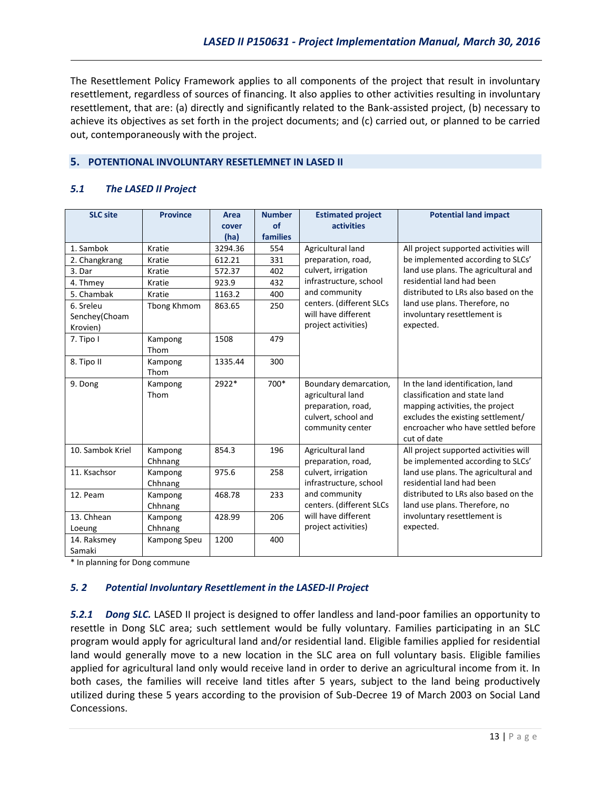The Resettlement Policy Framework applies to all components of the project that result in involuntary resettlement, regardless of sources of financing. It also applies to other activities resulting in involuntary resettlement, that are: (a) directly and significantly related to the Bank-assisted project, (b) necessary to achieve its objectives as set forth in the project documents; and (c) carried out, or planned to be carried out, contemporaneously with the project.

### **5. POTENTIONAL INVOLUNTARY RESETLEMNET IN LASED II**

### *5.1 The LASED II Project*

| <b>SLC site</b>                        | <b>Province</b>    | Area<br>cover<br>(ha) | <b>Number</b><br>of<br>families | <b>Estimated project</b><br>activities                                                                      | <b>Potential land impact</b>                                                                                                                                                                   |
|----------------------------------------|--------------------|-----------------------|---------------------------------|-------------------------------------------------------------------------------------------------------------|------------------------------------------------------------------------------------------------------------------------------------------------------------------------------------------------|
| 1. Sambok                              | Kratie             | 3294.36               | 554                             | Agricultural land                                                                                           | All project supported activities will                                                                                                                                                          |
| 2. Changkrang                          | Kratie             | 612.21                | 331                             | preparation, road,                                                                                          | be implemented according to SLCs'                                                                                                                                                              |
| 3. Dar                                 | Kratie             | 572.37                | 402                             | culvert, irrigation                                                                                         | land use plans. The agricultural and                                                                                                                                                           |
| 4. Thmey                               | Kratie             | 923.9                 | 432                             | infrastructure, school                                                                                      | residential land had been                                                                                                                                                                      |
| 5. Chambak                             | Kratie             | 1163.2                | 400                             | and community                                                                                               | distributed to LRs also based on the                                                                                                                                                           |
| 6. Sreleu<br>Senchey(Choam<br>Krovien) | Tbong Khmom        | 863.65                | 250                             | centers. (different SLCs<br>will have different<br>project activities)                                      | land use plans. Therefore, no<br>involuntary resettlement is<br>expected.                                                                                                                      |
| 7. Tipo I                              | Kampong<br>Thom    | 1508                  | 479                             |                                                                                                             |                                                                                                                                                                                                |
| 8. Tipo II                             | Kampong<br>Thom    | 1335.44               | 300                             |                                                                                                             |                                                                                                                                                                                                |
| 9. Dong                                | Kampong<br>Thom    | 2922*                 | 700*                            | Boundary demarcation,<br>agricultural land<br>preparation, road,<br>culvert, school and<br>community center | In the land identification, land<br>classification and state land<br>mapping activities, the project<br>excludes the existing settlement/<br>encroacher who have settled before<br>cut of date |
| 10. Sambok Kriel                       | Kampong<br>Chhnang | 854.3                 | 196                             | Agricultural land<br>preparation, road,                                                                     | All project supported activities will<br>be implemented according to SLCs'                                                                                                                     |
| 11. Ksachsor                           | Kampong<br>Chhnang | 975.6                 | 258                             | culvert, irrigation<br>infrastructure, school                                                               | land use plans. The agricultural and<br>residential land had been                                                                                                                              |
| 12. Peam                               | Kampong<br>Chhnang | 468.78                | 233                             | and community<br>centers. (different SLCs                                                                   | distributed to LRs also based on the<br>land use plans. Therefore, no                                                                                                                          |
| 13. Chhean<br>Loeung                   | Kampong<br>Chhnang | 428.99                | 206                             | will have different<br>project activities)                                                                  | involuntary resettlement is<br>expected.                                                                                                                                                       |
| 14. Raksmey<br>Samaki                  | Kampong Speu       | 1200                  | 400                             |                                                                                                             |                                                                                                                                                                                                |

\* In planning for Dong commune

### *5. 2 Potential Involuntary Resettlement in the LASED-II Project*

*5.2.1 Dong SLC.* LASED II project is designed to offer landless and land-poor families an opportunity to resettle in Dong SLC area; such settlement would be fully voluntary. Families participating in an SLC program would apply for agricultural land and/or residential land. Eligible families applied for residential land would generally move to a new location in the SLC area on full voluntary basis. Eligible families applied for agricultural land only would receive land in order to derive an agricultural income from it. In both cases, the families will receive land titles after 5 years, subject to the land being productively utilized during these 5 years according to the provision of Sub-Decree 19 of March 2003 on Social Land Concessions.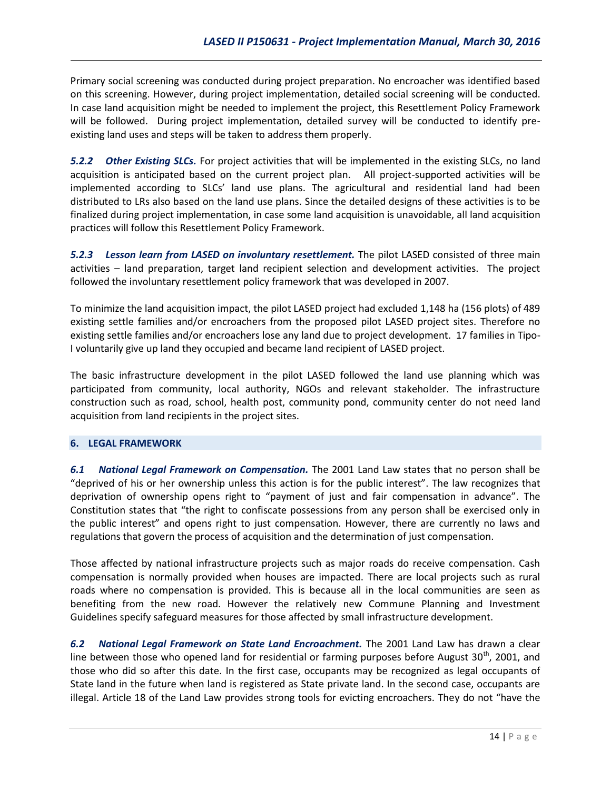Primary social screening was conducted during project preparation. No encroacher was identified based on this screening. However, during project implementation, detailed social screening will be conducted. In case land acquisition might be needed to implement the project, this Resettlement Policy Framework will be followed. During project implementation, detailed survey will be conducted to identify preexisting land uses and steps will be taken to address them properly.

*5.2.2 Other Existing SLCs.* For project activities that will be implemented in the existing SLCs, no land acquisition is anticipated based on the current project plan. All project-supported activities will be implemented according to SLCs' land use plans. The agricultural and residential land had been distributed to LRs also based on the land use plans. Since the detailed designs of these activities is to be finalized during project implementation, in case some land acquisition is unavoidable, all land acquisition practices will follow this Resettlement Policy Framework.

*5.2.3 Lesson learn from LASED on involuntary resettlement.* The pilot LASED consisted of three main activities – land preparation, target land recipient selection and development activities. The project followed the involuntary resettlement policy framework that was developed in 2007.

To minimize the land acquisition impact, the pilot LASED project had excluded 1,148 ha (156 plots) of 489 existing settle families and/or encroachers from the proposed pilot LASED project sites. Therefore no existing settle families and/or encroachers lose any land due to project development. 17 families in Tipo-I voluntarily give up land they occupied and became land recipient of LASED project.

The basic infrastructure development in the pilot LASED followed the land use planning which was participated from community, local authority, NGOs and relevant stakeholder. The infrastructure construction such as road, school, health post, community pond, community center do not need land acquisition from land recipients in the project sites.

### **6. LEGAL FRAMEWORK**

*6.1 National Legal Framework on Compensation.* The 2001 Land Law states that no person shall be "deprived of his or her ownership unless this action is for the public interest". The law recognizes that deprivation of ownership opens right to "payment of just and fair compensation in advance". The Constitution states that "the right to confiscate possessions from any person shall be exercised only in the public interest" and opens right to just compensation. However, there are currently no laws and regulations that govern the process of acquisition and the determination of just compensation.

Those affected by national infrastructure projects such as major roads do receive compensation. Cash compensation is normally provided when houses are impacted. There are local projects such as rural roads where no compensation is provided. This is because all in the local communities are seen as benefiting from the new road. However the relatively new Commune Planning and Investment Guidelines specify safeguard measures for those affected by small infrastructure development.

*6.2 National Legal Framework on State Land Encroachment.* The 2001 Land Law has drawn a clear line between those who opened land for residential or farming purposes before August  $30<sup>th</sup>$ , 2001, and those who did so after this date. In the first case, occupants may be recognized as legal occupants of State land in the future when land is registered as State private land. In the second case, occupants are illegal. Article 18 of the Land Law provides strong tools for evicting encroachers. They do not "have the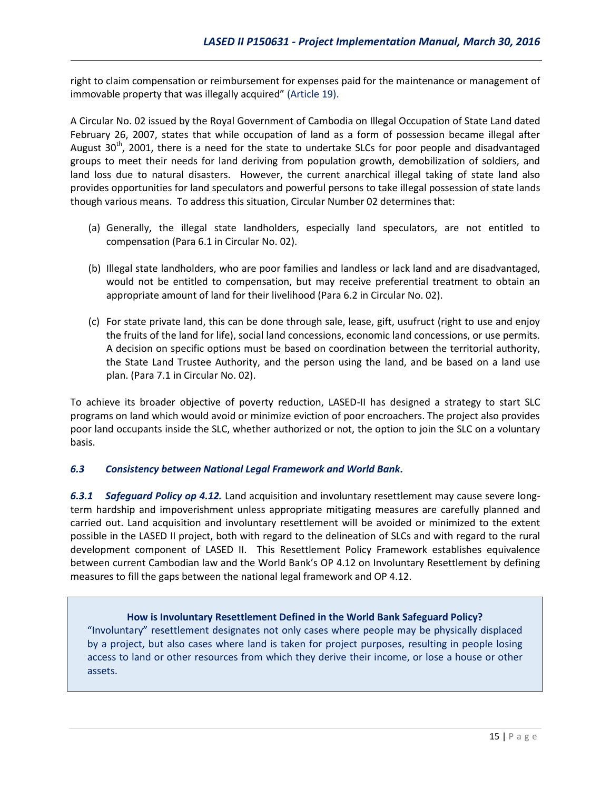right to claim compensation or reimbursement for expenses paid for the maintenance or management of immovable property that was illegally acquired" (Article 19).

A Circular No. 02 issued by the Royal Government of Cambodia on Illegal Occupation of State Land dated February 26, 2007, states that while occupation of land as a form of possession became illegal after August  $30<sup>th</sup>$ , 2001, there is a need for the state to undertake SLCs for poor people and disadvantaged groups to meet their needs for land deriving from population growth, demobilization of soldiers, and land loss due to natural disasters. However, the current anarchical illegal taking of state land also provides opportunities for land speculators and powerful persons to take illegal possession of state lands though various means. To address this situation, Circular Number 02 determines that:

- (a) Generally, the illegal state landholders, especially land speculators, are not entitled to compensation (Para 6.1 in Circular No. 02).
- (b) Illegal state landholders, who are poor families and landless or lack land and are disadvantaged, would not be entitled to compensation, but may receive preferential treatment to obtain an appropriate amount of land for their livelihood (Para 6.2 in Circular No. 02).
- (c) For state private land, this can be done through sale, lease, gift, usufruct (right to use and enjoy the fruits of the land for life), social land concessions, economic land concessions, or use permits. A decision on specific options must be based on coordination between the territorial authority, the State Land Trustee Authority, and the person using the land, and be based on a land use plan. (Para 7.1 in Circular No. 02).

To achieve its broader objective of poverty reduction, LASED-II has designed a strategy to start SLC programs on land which would avoid or minimize eviction of poor encroachers. The project also provides poor land occupants inside the SLC, whether authorized or not, the option to join the SLC on a voluntary basis.

### *6.3 Consistency between National Legal Framework and World Bank.*

*6.3.1 Safeguard Policy op 4.12.* Land acquisition and involuntary resettlement may cause severe longterm hardship and impoverishment unless appropriate mitigating measures are carefully planned and carried out. Land acquisition and involuntary resettlement will be avoided or minimized to the extent possible in the LASED II project, both with regard to the delineation of SLCs and with regard to the rural development component of LASED II. This Resettlement Policy Framework establishes equivalence between current Cambodian law and the World Bank's OP 4.12 on Involuntary Resettlement by defining measures to fill the gaps between the national legal framework and OP 4.12.

### **How is Involuntary Resettlement Defined in the World Bank Safeguard Policy?**

"Involuntary" resettlement designates not only cases where people may be physically displaced by a project, but also cases where land is taken for project purposes, resulting in people losing access to land or other resources from which they derive their income, or lose a house or other assets.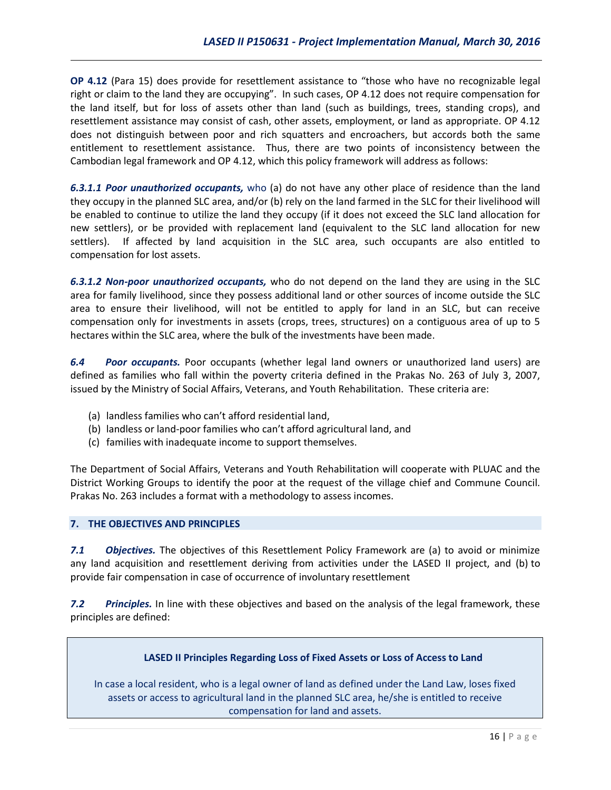**OP 4.12** (Para 15) does provide for resettlement assistance to "those who have no recognizable legal right or claim to the land they are occupying". In such cases, OP 4.12 does not require compensation for the land itself, but for loss of assets other than land (such as buildings, trees, standing crops), and resettlement assistance may consist of cash, other assets, employment, or land as appropriate. OP 4.12 does not distinguish between poor and rich squatters and encroachers, but accords both the same entitlement to resettlement assistance. Thus, there are two points of inconsistency between the Cambodian legal framework and OP 4.12, which this policy framework will address as follows:

*6.3.1.1 Poor unauthorized occupants,* who (a) do not have any other place of residence than the land they occupy in the planned SLC area, and/or (b) rely on the land farmed in the SLC for their livelihood will be enabled to continue to utilize the land they occupy (if it does not exceed the SLC land allocation for new settlers), or be provided with replacement land (equivalent to the SLC land allocation for new settlers). If affected by land acquisition in the SLC area, such occupants are also entitled to compensation for lost assets.

*6.3.1.2 Non-poor unauthorized occupants,* who do not depend on the land they are using in the SLC area for family livelihood, since they possess additional land or other sources of income outside the SLC area to ensure their livelihood, will not be entitled to apply for land in an SLC, but can receive compensation only for investments in assets (crops, trees, structures) on a contiguous area of up to 5 hectares within the SLC area, where the bulk of the investments have been made.

*6.4 Poor occupants.* Poor occupants (whether legal land owners or unauthorized land users) are defined as families who fall within the poverty criteria defined in the Prakas No. 263 of July 3, 2007, issued by the Ministry of Social Affairs, Veterans, and Youth Rehabilitation. These criteria are:

- (a) landless families who can't afford residential land,
- (b) landless or land-poor families who can't afford agricultural land, and
- (c) families with inadequate income to support themselves.

The Department of Social Affairs, Veterans and Youth Rehabilitation will cooperate with PLUAC and the District Working Groups to identify the poor at the request of the village chief and Commune Council. Prakas No. 263 includes a format with a methodology to assess incomes.

### **7. THE OBJECTIVES AND PRINCIPLES**

*7.1 Objectives.* The objectives of this Resettlement Policy Framework are (a) to avoid or minimize any land acquisition and resettlement deriving from activities under the LASED II project, and (b) to provide fair compensation in case of occurrence of involuntary resettlement

*7.2 Principles.* In line with these objectives and based on the analysis of the legal framework, these principles are defined:

#### **LASED II Principles Regarding Loss of Fixed Assets or Loss of Access to Land**

In case a local resident, who is a legal owner of land as defined under the Land Law, loses fixed assets or access to agricultural land in the planned SLC area, he/she is entitled to receive compensation for land and assets.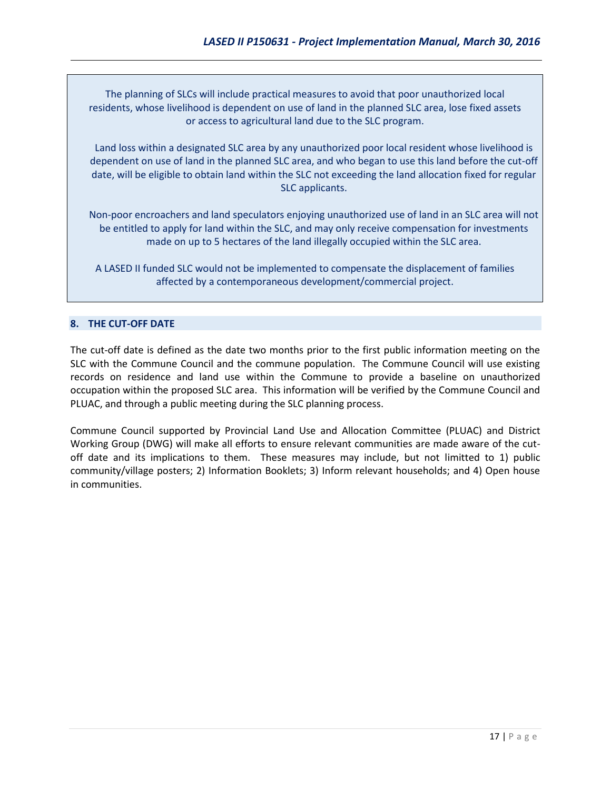The planning of SLCs will include practical measures to avoid that poor unauthorized local residents, whose livelihood is dependent on use of land in the planned SLC area, lose fixed assets or access to agricultural land due to the SLC program.

Land loss within a designated SLC area by any unauthorized poor local resident whose livelihood is dependent on use of land in the planned SLC area, and who began to use this land before the cut-off date, will be eligible to obtain land within the SLC not exceeding the land allocation fixed for regular SLC applicants.

Non-poor encroachers and land speculators enjoying unauthorized use of land in an SLC area will not be entitled to apply for land within the SLC, and may only receive compensation for investments made on up to 5 hectares of the land illegally occupied within the SLC area.

A LASED II funded SLC would not be implemented to compensate the displacement of families affected by a contemporaneous development/commercial project.

### **8. THE CUT-OFF DATE**

The cut-off date is defined as the date two months prior to the first public information meeting on the SLC with the Commune Council and the commune population. The Commune Council will use existing records on residence and land use within the Commune to provide a baseline on unauthorized occupation within the proposed SLC area. This information will be verified by the Commune Council and PLUAC, and through a public meeting during the SLC planning process.

Commune Council supported by Provincial Land Use and Allocation Committee (PLUAC) and District Working Group (DWG) will make all efforts to ensure relevant communities are made aware of the cutoff date and its implications to them. These measures may include, but not limitted to 1) public community/village posters; 2) Information Booklets; 3) Inform relevant households; and 4) Open house in communities.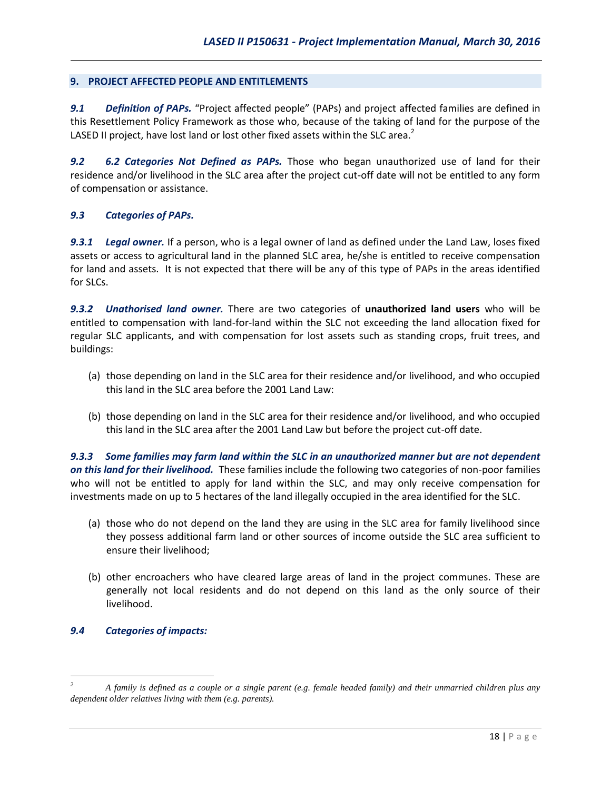#### **9. PROJECT AFFECTED PEOPLE AND ENTITLEMENTS**

*9.1 Definition of PAPs.* "Project affected people" (PAPs) and project affected families are defined in this Resettlement Policy Framework as those who, because of the taking of land for the purpose of the LASED II project, have lost land or lost other fixed assets within the SLC area.<sup>2</sup>

*9.2 6.2 Categories Not Defined as PAPs.* Those who began unauthorized use of land for their residence and/or livelihood in the SLC area after the project cut-off date will not be entitled to any form of compensation or assistance.

#### *9.3 Categories of PAPs.*

*9.3.1 Legal owner.* If a person, who is a legal owner of land as defined under the Land Law, loses fixed assets or access to agricultural land in the planned SLC area, he/she is entitled to receive compensation for land and assets. It is not expected that there will be any of this type of PAPs in the areas identified for SLCs.

*9.3.2 Unathorised land owner.* There are two categories of **unauthorized land users** who will be entitled to compensation with land-for-land within the SLC not exceeding the land allocation fixed for regular SLC applicants, and with compensation for lost assets such as standing crops, fruit trees, and buildings:

- (a) those depending on land in the SLC area for their residence and/or livelihood, and who occupied this land in the SLC area before the 2001 Land Law:
- (b) those depending on land in the SLC area for their residence and/or livelihood, and who occupied this land in the SLC area after the 2001 Land Law but before the project cut-off date.

*9.3.3 Some families may farm land within the SLC in an unauthorized manner but are not dependent on this land for their livelihood.* These families include the following two categories of non-poor families who will not be entitled to apply for land within the SLC, and may only receive compensation for investments made on up to 5 hectares of the land illegally occupied in the area identified for the SLC.

- (a) those who do not depend on the land they are using in the SLC area for family livelihood since they possess additional farm land or other sources of income outside the SLC area sufficient to ensure their livelihood;
- (b) other encroachers who have cleared large areas of land in the project communes. These are generally not local residents and do not depend on this land as the only source of their livelihood.

#### *9.4 Categories of impacts:*

 $\overline{a}$ 

*<sup>2</sup> A family is defined as a couple or a single parent (e.g. female headed family) and their unmarried children plus any dependent older relatives living with them (e.g. parents).*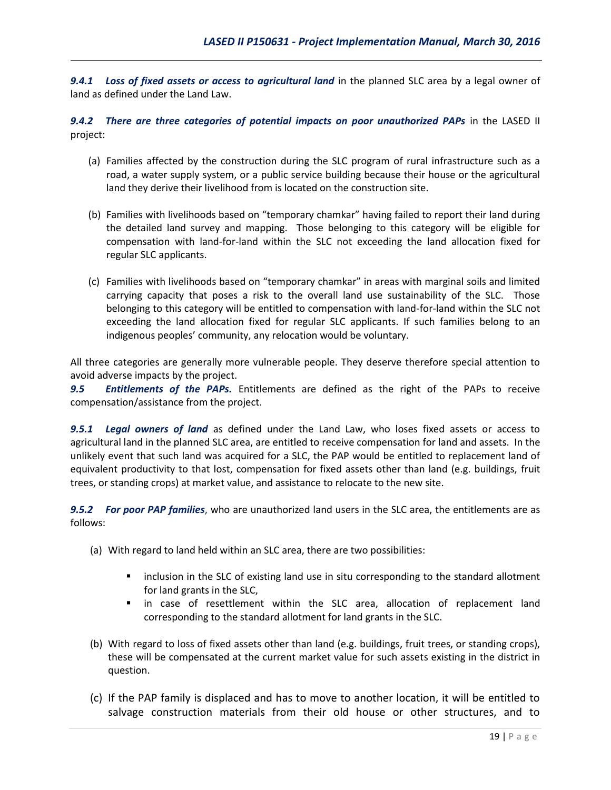*9.4.1 Loss of fixed assets or access to agricultural land* in the planned SLC area by a legal owner of land as defined under the Land Law.

*9.4.2 There are three categories of potential impacts on poor unauthorized PAPs* in the LASED II project:

- (a) Families affected by the construction during the SLC program of rural infrastructure such as a road, a water supply system, or a public service building because their house or the agricultural land they derive their livelihood from is located on the construction site.
- (b) Families with livelihoods based on "temporary chamkar" having failed to report their land during the detailed land survey and mapping. Those belonging to this category will be eligible for compensation with land-for-land within the SLC not exceeding the land allocation fixed for regular SLC applicants.
- (c) Families with livelihoods based on "temporary chamkar" in areas with marginal soils and limited carrying capacity that poses a risk to the overall land use sustainability of the SLC. Those belonging to this category will be entitled to compensation with land-for-land within the SLC not exceeding the land allocation fixed for regular SLC applicants. If such families belong to an indigenous peoples' community, any relocation would be voluntary.

All three categories are generally more vulnerable people. They deserve therefore special attention to avoid adverse impacts by the project.

*9.5 Entitlements of the PAPs.* Entitlements are defined as the right of the PAPs to receive compensation/assistance from the project.

*9.5.1 Legal owners of land* as defined under the Land Law, who loses fixed assets or access to agricultural land in the planned SLC area, are entitled to receive compensation for land and assets. In the unlikely event that such land was acquired for a SLC, the PAP would be entitled to replacement land of equivalent productivity to that lost, compensation for fixed assets other than land (e.g. buildings, fruit trees, or standing crops) at market value, and assistance to relocate to the new site.

*9.5.2 For poor PAP families*, who are unauthorized land users in the SLC area, the entitlements are as follows:

- (a) With regard to land held within an SLC area, there are two possibilities:
	- **EXECT** inclusion in the SLC of existing land use in situ corresponding to the standard allotment for land grants in the SLC,
	- in case of resettlement within the SLC area, allocation of replacement land corresponding to the standard allotment for land grants in the SLC.
- (b) With regard to loss of fixed assets other than land (e.g. buildings, fruit trees, or standing crops), these will be compensated at the current market value for such assets existing in the district in question.
- (c) If the PAP family is displaced and has to move to another location, it will be entitled to salvage construction materials from their old house or other structures, and to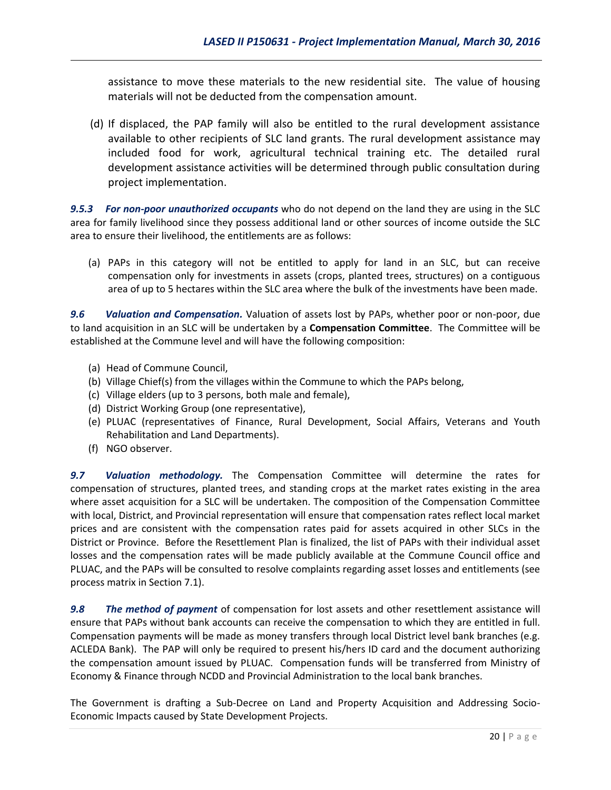assistance to move these materials to the new residential site. The value of housing materials will not be deducted from the compensation amount.

(d) If displaced, the PAP family will also be entitled to the rural development assistance available to other recipients of SLC land grants. The rural development assistance may included food for work, agricultural technical training etc. The detailed rural development assistance activities will be determined through public consultation during project implementation.

*9.5.3 For non-poor unauthorized occupants* who do not depend on the land they are using in the SLC area for family livelihood since they possess additional land or other sources of income outside the SLC area to ensure their livelihood, the entitlements are as follows:

(a) PAPs in this category will not be entitled to apply for land in an SLC, but can receive compensation only for investments in assets (crops, planted trees, structures) on a contiguous area of up to 5 hectares within the SLC area where the bulk of the investments have been made.

*9.6 Valuation and Compensation.* Valuation of assets lost by PAPs, whether poor or non-poor, due to land acquisition in an SLC will be undertaken by a **Compensation Committee**. The Committee will be established at the Commune level and will have the following composition:

- (a) Head of Commune Council,
- (b) Village Chief(s) from the villages within the Commune to which the PAPs belong,
- (c) Village elders (up to 3 persons, both male and female),
- (d) District Working Group (one representative),
- (e) PLUAC (representatives of Finance, Rural Development, Social Affairs, Veterans and Youth Rehabilitation and Land Departments).
- (f) NGO observer.

*9.7 Valuation methodology.* The Compensation Committee will determine the rates for compensation of structures, planted trees, and standing crops at the market rates existing in the area where asset acquisition for a SLC will be undertaken. The composition of the Compensation Committee with local, District, and Provincial representation will ensure that compensation rates reflect local market prices and are consistent with the compensation rates paid for assets acquired in other SLCs in the District or Province. Before the Resettlement Plan is finalized, the list of PAPs with their individual asset losses and the compensation rates will be made publicly available at the Commune Council office and PLUAC, and the PAPs will be consulted to resolve complaints regarding asset losses and entitlements (see process matrix in Section 7.1).

*9.8 The method of payment* of compensation for lost assets and other resettlement assistance will ensure that PAPs without bank accounts can receive the compensation to which they are entitled in full. Compensation payments will be made as money transfers through local District level bank branches (e.g. ACLEDA Bank). The PAP will only be required to present his/hers ID card and the document authorizing the compensation amount issued by PLUAC. Compensation funds will be transferred from Ministry of Economy & Finance through NCDD and Provincial Administration to the local bank branches.

The Government is drafting a Sub-Decree on Land and Property Acquisition and Addressing Socio-Economic Impacts caused by State Development Projects.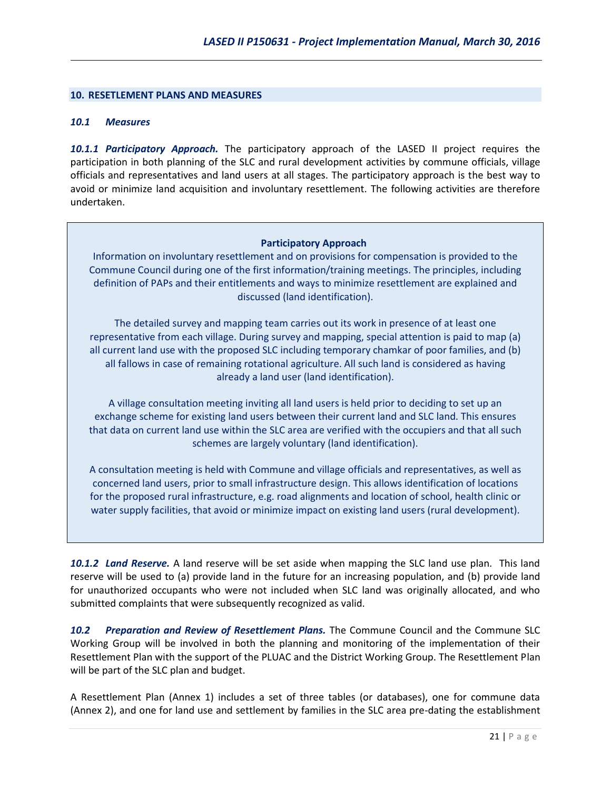#### **10. RESETLEMENT PLANS AND MEASURES**

#### *10.1 Measures*

*10.1.1 Participatory Approach.* The participatory approach of the LASED II project requires the participation in both planning of the SLC and rural development activities by commune officials, village officials and representatives and land users at all stages. The participatory approach is the best way to avoid or minimize land acquisition and involuntary resettlement. The following activities are therefore undertaken.

#### **Participatory Approach**

Information on involuntary resettlement and on provisions for compensation is provided to the Commune Council during one of the first information/training meetings. The principles, including definition of PAPs and their entitlements and ways to minimize resettlement are explained and discussed (land identification).

The detailed survey and mapping team carries out its work in presence of at least one representative from each village. During survey and mapping, special attention is paid to map (a) all current land use with the proposed SLC including temporary chamkar of poor families, and (b) all fallows in case of remaining rotational agriculture. All such land is considered as having already a land user (land identification).

A village consultation meeting inviting all land users is held prior to deciding to set up an exchange scheme for existing land users between their current land and SLC land. This ensures that data on current land use within the SLC area are verified with the occupiers and that all such schemes are largely voluntary (land identification).

A consultation meeting is held with Commune and village officials and representatives, as well as concerned land users, prior to small infrastructure design. This allows identification of locations for the proposed rural infrastructure, e.g. road alignments and location of school, health clinic or water supply facilities, that avoid or minimize impact on existing land users (rural development).

*10.1.2 Land Reserve.* A land reserve will be set aside when mapping the SLC land use plan. This land reserve will be used to (a) provide land in the future for an increasing population, and (b) provide land for unauthorized occupants who were not included when SLC land was originally allocated, and who submitted complaints that were subsequently recognized as valid.

*10.2 Preparation and Review of Resettlement Plans.* The Commune Council and the Commune SLC Working Group will be involved in both the planning and monitoring of the implementation of their Resettlement Plan with the support of the PLUAC and the District Working Group. The Resettlement Plan will be part of the SLC plan and budget.

A Resettlement Plan (Annex 1) includes a set of three tables (or databases), one for commune data (Annex 2), and one for land use and settlement by families in the SLC area pre-dating the establishment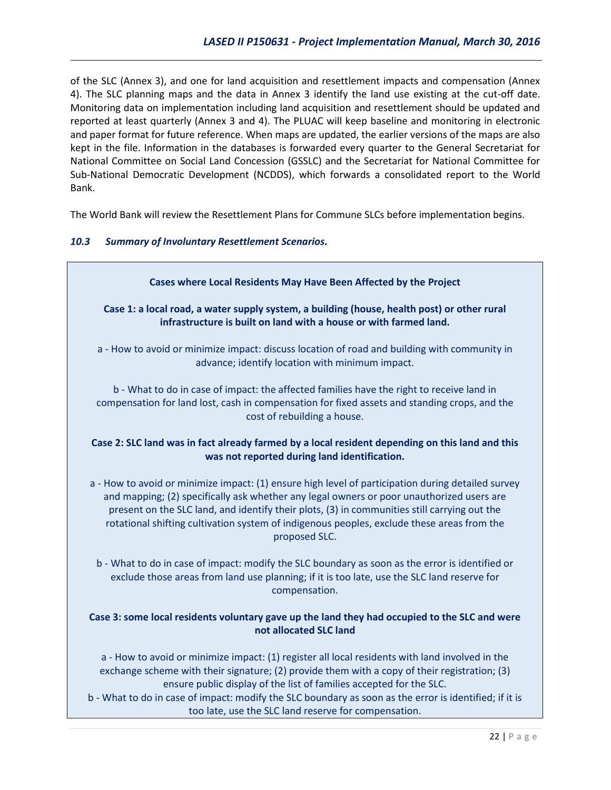of the SLC (Annex 3), and one for land acquisition and resettlement impacts and compensation (Annex 4). The SLC planning maps and the data in Annex 3 identify the land use existing at the cut-off date. Monitoring data on implementation including land acquisition and resettlement should be updated and reported at least quarterly (Annex 3 and 4). The PLUAC will keep baseline and monitoring in electronic and paper format for future reference. When maps are updated, the earlier versions of the maps are also kept in the file. Information in the databases is forwarded every quarter to the General Secretariat for National Committee on Social Land Concession (GSSLC) and the Secretariat for National Committee for Sub-National Democratic Development (NCDDS), which forwards a consolidated report to the World Bank.

The World Bank will review the Resettlement Plans for Commune SLCs before implementation begins.

### *10.3 Summary of Involuntary Resettlement Scenarios.*

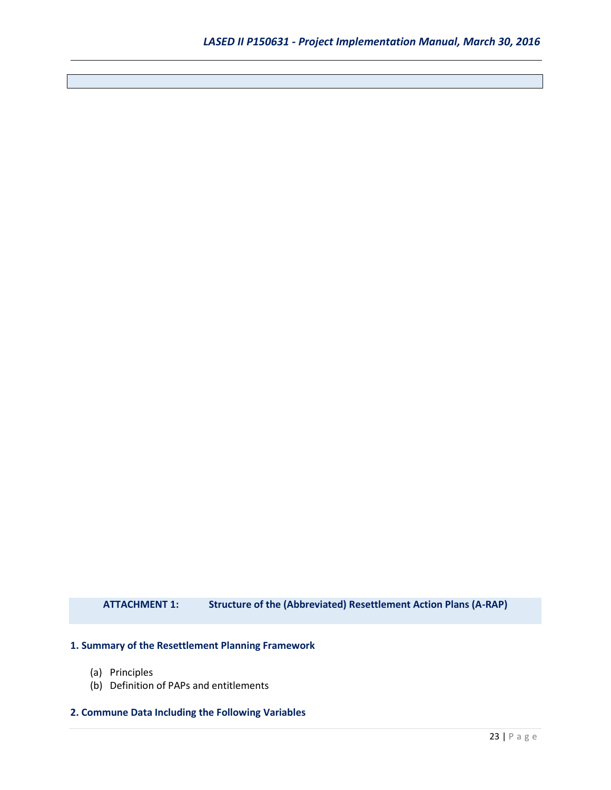**ATTACHMENT 1: Structure of the (Abbreviated) Resettlement Action Plans (A-RAP)**

#### **1. Summary of the Resettlement Planning Framework**

- (a) Principles
- (b) Definition of PAPs and entitlements

#### **2. Commune Data Including the Following Variables**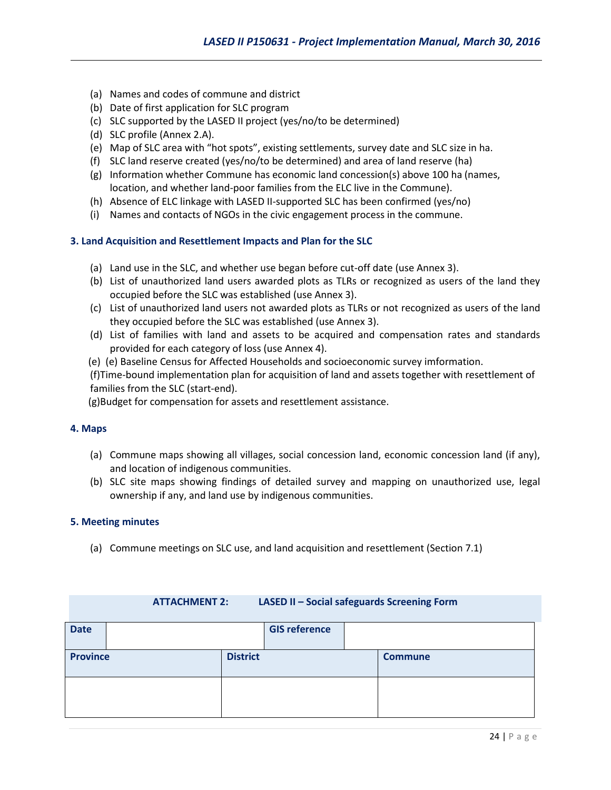- (a) Names and codes of commune and district
- (b) Date of first application for SLC program
- (c) SLC supported by the LASED II project (yes/no/to be determined)
- (d) SLC profile (Annex 2.A).
- (e) Map of SLC area with "hot spots", existing settlements, survey date and SLC size in ha.
- (f) SLC land reserve created (yes/no/to be determined) and area of land reserve (ha)
- (g) Information whether Commune has economic land concession(s) above 100 ha (names, location, and whether land-poor families from the ELC live in the Commune).
- (h) Absence of ELC linkage with LASED II-supported SLC has been confirmed (yes/no)
- (i) Names and contacts of NGOs in the civic engagement process in the commune.

#### **3. Land Acquisition and Resettlement Impacts and Plan for the SLC**

- (a) Land use in the SLC, and whether use began before cut-off date (use Annex 3).
- (b) List of unauthorized land users awarded plots as TLRs or recognized as users of the land they occupied before the SLC was established (use Annex 3).
- (c) List of unauthorized land users not awarded plots as TLRs or not recognized as users of the land they occupied before the SLC was established (use Annex 3).
- (d) List of families with land and assets to be acquired and compensation rates and standards provided for each category of loss (use Annex 4).
- (e) (e) Baseline Census for Affected Households and socioeconomic survey imformation.

(f)Time-bound implementation plan for acquisition of land and assets together with resettlement of families from the SLC (start-end).

(g)Budget for compensation for assets and resettlement assistance.

#### **4. Maps**

- (a) Commune maps showing all villages, social concession land, economic concession land (if any), and location of indigenous communities.
- (b) SLC site maps showing findings of detailed survey and mapping on unauthorized use, legal ownership if any, and land use by indigenous communities.

#### **5. Meeting minutes**

(a) Commune meetings on SLC use, and land acquisition and resettlement (Section 7.1)

#### **ATTACHMENT 2: LASED II – Social safeguards Screening Form**

| <b>Date</b>                        |  | <b>GIS reference</b> |                |
|------------------------------------|--|----------------------|----------------|
| <b>District</b><br><b>Province</b> |  |                      | <b>Commune</b> |
|                                    |  |                      |                |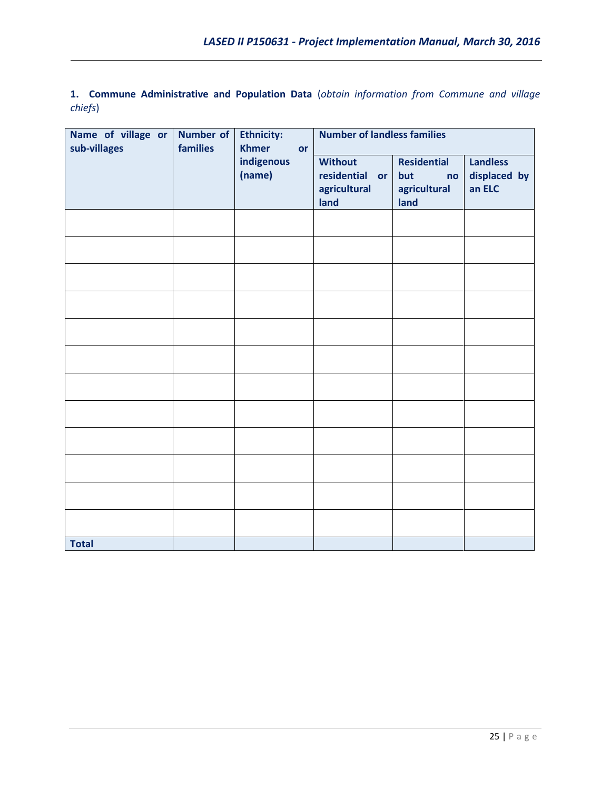**1. Commune Administrative and Population Data** (*obtain information from Commune and village chiefs*)

| Name of village or<br>sub-villages | Number of<br>families | <b>Ethnicity:</b><br><b>Khmer</b><br>or | <b>Number of landless families</b>                                 |                                                         |                                           |
|------------------------------------|-----------------------|-----------------------------------------|--------------------------------------------------------------------|---------------------------------------------------------|-------------------------------------------|
|                                    |                       | indigenous<br>(name)                    | <b>Without</b><br>residential<br><b>or</b><br>agricultural<br>land | <b>Residential</b><br>but<br>no<br>agricultural<br>land | <b>Landless</b><br>displaced by<br>an ELC |
|                                    |                       |                                         |                                                                    |                                                         |                                           |
|                                    |                       |                                         |                                                                    |                                                         |                                           |
|                                    |                       |                                         |                                                                    |                                                         |                                           |
|                                    |                       |                                         |                                                                    |                                                         |                                           |
|                                    |                       |                                         |                                                                    |                                                         |                                           |
|                                    |                       |                                         |                                                                    |                                                         |                                           |
|                                    |                       |                                         |                                                                    |                                                         |                                           |
|                                    |                       |                                         |                                                                    |                                                         |                                           |
|                                    |                       |                                         |                                                                    |                                                         |                                           |
|                                    |                       |                                         |                                                                    |                                                         |                                           |
|                                    |                       |                                         |                                                                    |                                                         |                                           |
|                                    |                       |                                         |                                                                    |                                                         |                                           |
| <b>Total</b>                       |                       |                                         |                                                                    |                                                         |                                           |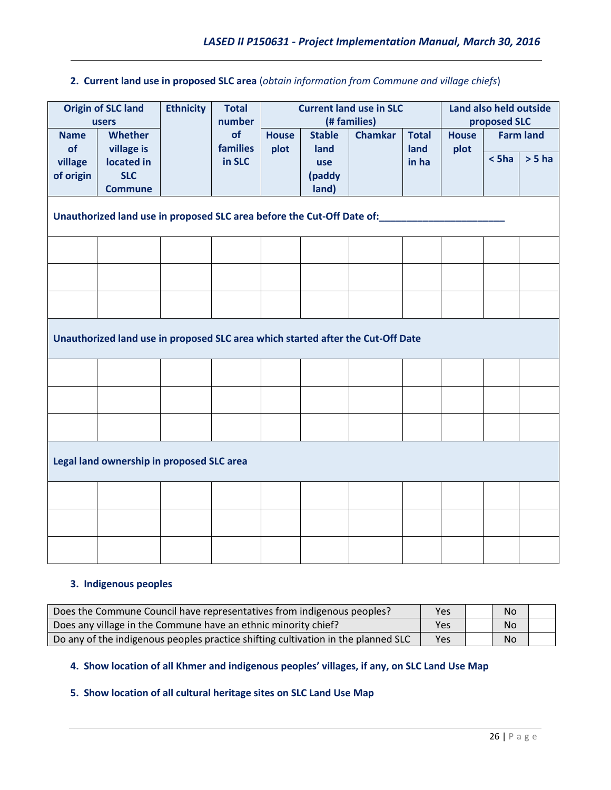# **2. Current land use in proposed SLC area** (*obtain information from Commune and village chiefs*)

| <b>Origin of SLC land</b> |                                                                                 | <b>Ethnicity</b>                                                                | <b>Total</b> |              | <b>Current land use in SLC</b> |  |                  |      | Land also held outside<br>proposed SLC |          |  |
|---------------------------|---------------------------------------------------------------------------------|---------------------------------------------------------------------------------|--------------|--------------|--------------------------------|--|------------------|------|----------------------------------------|----------|--|
| <b>Name</b>               | users<br><b>Whether</b>                                                         | (# families)<br>number<br>of<br><b>Stable</b><br><b>Chamkar</b><br><b>House</b> |              | <b>Total</b> | <b>House</b>                   |  | <b>Farm land</b> |      |                                        |          |  |
| of                        | village is                                                                      |                                                                                 | families     | plot         | land                           |  | land             | plot |                                        |          |  |
| village                   | located in                                                                      |                                                                                 | in SLC       |              | use                            |  | in ha            |      | $<$ 5ha                                | $> 5$ ha |  |
| of origin                 | <b>SLC</b>                                                                      |                                                                                 |              |              | (paddy                         |  |                  |      |                                        |          |  |
|                           | <b>Commune</b>                                                                  |                                                                                 |              |              | land)                          |  |                  |      |                                        |          |  |
|                           | Unauthorized land use in proposed SLC area before the Cut-Off Date of:          |                                                                                 |              |              |                                |  |                  |      |                                        |          |  |
|                           |                                                                                 |                                                                                 |              |              |                                |  |                  |      |                                        |          |  |
|                           |                                                                                 |                                                                                 |              |              |                                |  |                  |      |                                        |          |  |
|                           |                                                                                 |                                                                                 |              |              |                                |  |                  |      |                                        |          |  |
|                           | Unauthorized land use in proposed SLC area which started after the Cut-Off Date |                                                                                 |              |              |                                |  |                  |      |                                        |          |  |
|                           |                                                                                 |                                                                                 |              |              |                                |  |                  |      |                                        |          |  |
|                           |                                                                                 |                                                                                 |              |              |                                |  |                  |      |                                        |          |  |
|                           |                                                                                 |                                                                                 |              |              |                                |  |                  |      |                                        |          |  |
|                           | Legal land ownership in proposed SLC area                                       |                                                                                 |              |              |                                |  |                  |      |                                        |          |  |
|                           |                                                                                 |                                                                                 |              |              |                                |  |                  |      |                                        |          |  |
|                           |                                                                                 |                                                                                 |              |              |                                |  |                  |      |                                        |          |  |
|                           |                                                                                 |                                                                                 |              |              |                                |  |                  |      |                                        |          |  |

# **3. Indigenous peoples**

| Does the Commune Council have representatives from indigenous peoples?            | Yes | <b>No</b> |  |
|-----------------------------------------------------------------------------------|-----|-----------|--|
| Does any village in the Commune have an ethnic minority chief?                    | Yes | <b>No</b> |  |
| Do any of the indigenous peoples practice shifting cultivation in the planned SLC | Yes | <b>No</b> |  |

# **4. Show location of all Khmer and indigenous peoples' villages, if any, on SLC Land Use Map**

# **5. Show location of all cultural heritage sites on SLC Land Use Map**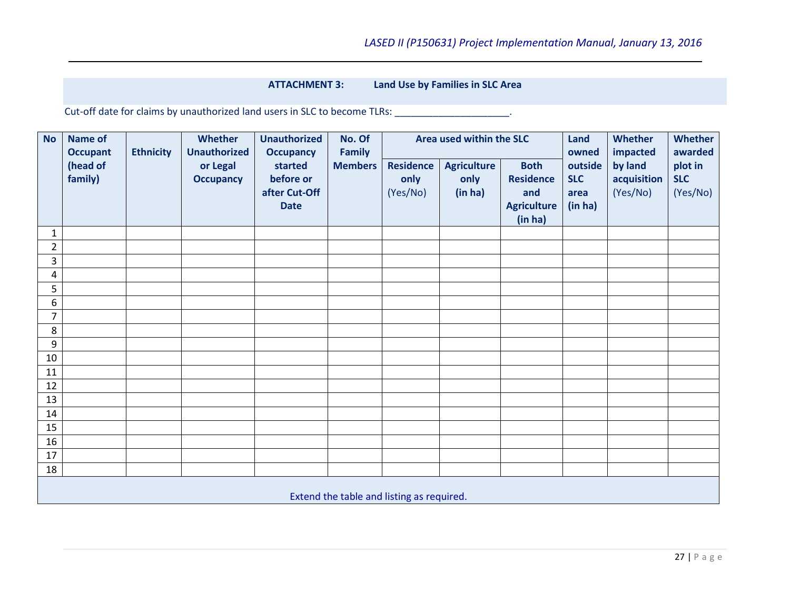### **ATTACHMENT 3: Land Use by Families in SLC Area**

Cut-off date for claims by unauthorized land users in SLC to become TLRs: \_\_\_\_\_\_\_\_\_\_\_\_\_\_\_\_\_\_\_\_\_.

| <b>No</b>                                 | <b>Name of</b><br><b>Occupant</b> | <b>Ethnicity</b> | <b>Whether</b><br><b>Unauthorized</b> | <b>Unauthorized</b><br><b>Occupancy</b>              | No. Of<br><b>Family</b> |                                      | Area used within the SLC              |                                                                         | Land<br>owned                            | <b>Whether</b><br>impacted         | <b>Whether</b><br>awarded         |  |
|-------------------------------------------|-----------------------------------|------------------|---------------------------------------|------------------------------------------------------|-------------------------|--------------------------------------|---------------------------------------|-------------------------------------------------------------------------|------------------------------------------|------------------------------------|-----------------------------------|--|
|                                           | (head of<br>family)               |                  | or Legal<br><b>Occupancy</b>          | started<br>before or<br>after Cut-Off<br><b>Date</b> | <b>Members</b>          | <b>Residence</b><br>only<br>(Yes/No) | <b>Agriculture</b><br>only<br>(in ha) | <b>Both</b><br><b>Residence</b><br>and<br><b>Agriculture</b><br>(in ha) | outside<br><b>SLC</b><br>area<br>(in ha) | by land<br>acquisition<br>(Yes/No) | plot in<br><b>SLC</b><br>(Yes/No) |  |
| $\mathbf{1}$                              |                                   |                  |                                       |                                                      |                         |                                      |                                       |                                                                         |                                          |                                    |                                   |  |
| $\overline{2}$                            |                                   |                  |                                       |                                                      |                         |                                      |                                       |                                                                         |                                          |                                    |                                   |  |
| 3                                         |                                   |                  |                                       |                                                      |                         |                                      |                                       |                                                                         |                                          |                                    |                                   |  |
| 4                                         |                                   |                  |                                       |                                                      |                         |                                      |                                       |                                                                         |                                          |                                    |                                   |  |
| 5                                         |                                   |                  |                                       |                                                      |                         |                                      |                                       |                                                                         |                                          |                                    |                                   |  |
| 6                                         |                                   |                  |                                       |                                                      |                         |                                      |                                       |                                                                         |                                          |                                    |                                   |  |
| $\overline{7}$                            |                                   |                  |                                       |                                                      |                         |                                      |                                       |                                                                         |                                          |                                    |                                   |  |
| 8                                         |                                   |                  |                                       |                                                      |                         |                                      |                                       |                                                                         |                                          |                                    |                                   |  |
| 9                                         |                                   |                  |                                       |                                                      |                         |                                      |                                       |                                                                         |                                          |                                    |                                   |  |
| $10\,$                                    |                                   |                  |                                       |                                                      |                         |                                      |                                       |                                                                         |                                          |                                    |                                   |  |
| 11                                        |                                   |                  |                                       |                                                      |                         |                                      |                                       |                                                                         |                                          |                                    |                                   |  |
| 12                                        |                                   |                  |                                       |                                                      |                         |                                      |                                       |                                                                         |                                          |                                    |                                   |  |
| 13                                        |                                   |                  |                                       |                                                      |                         |                                      |                                       |                                                                         |                                          |                                    |                                   |  |
| 14                                        |                                   |                  |                                       |                                                      |                         |                                      |                                       |                                                                         |                                          |                                    |                                   |  |
| 15                                        |                                   |                  |                                       |                                                      |                         |                                      |                                       |                                                                         |                                          |                                    |                                   |  |
| 16                                        |                                   |                  |                                       |                                                      |                         |                                      |                                       |                                                                         |                                          |                                    |                                   |  |
| 17                                        |                                   |                  |                                       |                                                      |                         |                                      |                                       |                                                                         |                                          |                                    |                                   |  |
| 18                                        |                                   |                  |                                       |                                                      |                         |                                      |                                       |                                                                         |                                          |                                    |                                   |  |
| Extend the table and listing as required. |                                   |                  |                                       |                                                      |                         |                                      |                                       |                                                                         |                                          |                                    |                                   |  |